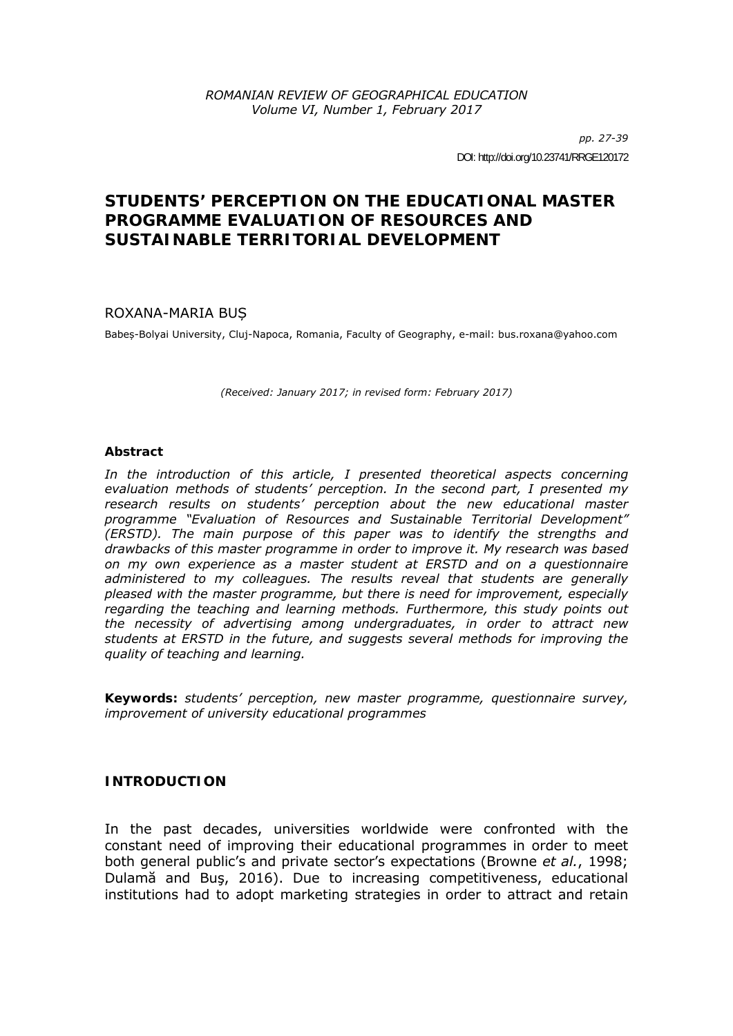*pp. 27-39*  DOI: http://doi.org/10.23741/RRGE120172

# **STUDENTS' PERCEPTION ON THE EDUCATIONAL MASTER PROGRAMME** *EVALUATION OF RESOURCES AND SUSTAINABLE TERRITORIAL DEVELOPMENT*

# ROXANA-MARIA BUȘ

Babeș-Bolyai University, Cluj-Napoca, Romania, Faculty of Geography, e-mail: bus.roxana@yahoo.com

*(Received: January 2017; in revised form: February 2017)* 

### *Abstract*

In the introduction of this article, I presented theoretical aspects concerning *evaluation methods of students' perception. In the second part, I presented my research results on students' perception about the new educational master programme "Evaluation of Resources and Sustainable Territorial Development" (ERSTD). The main purpose of this paper was to identify the strengths and drawbacks of this master programme in order to improve it. My research was based on my own experience as a master student at ERSTD and on a questionnaire administered to my colleagues. The results reveal that students are generally pleased with the master programme, but there is need for improvement, especially regarding the teaching and learning methods. Furthermore, this study points out the necessity of advertising among undergraduates, in order to attract new students at ERSTD in the future, and suggests several methods for improving the quality of teaching and learning.* 

*Keywords: students' perception, new master programme, questionnaire survey, improvement of university educational programmes* 

## **INTRODUCTION**

In the past decades, universities worldwide were confronted with the constant need of improving their educational programmes in order to meet both general public's and private sector's expectations (Browne *et al.*, 1998; Dulamă and Buş, 2016). Due to increasing competitiveness, educational institutions had to adopt marketing strategies in order to attract and retain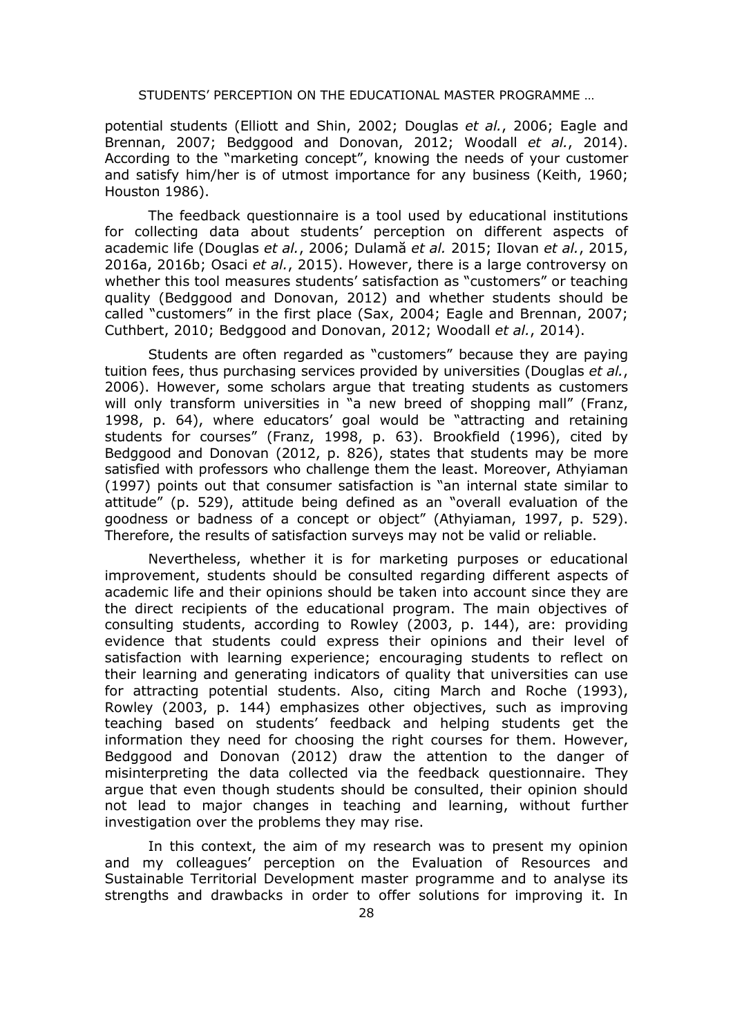potential students (Elliott and Shin, 2002; Douglas *et al.*, 2006; Eagle and Brennan, 2007; Bedggood and Donovan, 2012; Woodall *et al.*, 2014). According to the "marketing concept", knowing the needs of your customer and satisfy him/her is of utmost importance for any business (Keith, 1960; Houston 1986).

The feedback questionnaire is a tool used by educational institutions for collecting data about students' perception on different aspects of academic life (Douglas *et al.*, 2006; Dulamă *et al.* 2015; Ilovan *et al.*, 2015, 2016a, 2016b; Osaci *et al.*, 2015). However, there is a large controversy on whether this tool measures students' satisfaction as "customers" or teaching quality (Bedggood and Donovan, 2012) and whether students should be called "customers" in the first place (Sax, 2004; Eagle and Brennan, 2007; Cuthbert, 2010; Bedggood and Donovan, 2012; Woodall *et al.*, 2014).

Students are often regarded as "customers" because they are paying tuition fees, thus purchasing services provided by universities (Douglas *et al.*, 2006). However, some scholars argue that treating students as customers will only transform universities in "a new breed of shopping mall" (Franz, 1998, p. 64), where educators' goal would be "attracting and retaining students for courses" (Franz, 1998, p. 63). Brookfield (1996), cited by Bedggood and Donovan (2012, p. 826), states that students may be more satisfied with professors who challenge them the least. Moreover, Athyiaman (1997) points out that consumer satisfaction is "an internal state similar to attitude" (p. 529), attitude being defined as an "overall evaluation of the goodness or badness of a concept or object" (Athyiaman, 1997, p. 529). Therefore, the results of satisfaction surveys may not be valid or reliable.

Nevertheless, whether it is for marketing purposes or educational improvement, students should be consulted regarding different aspects of academic life and their opinions should be taken into account since they are the direct recipients of the educational program. The main objectives of consulting students, according to Rowley (2003, p. 144), are: providing evidence that students could express their opinions and their level of satisfaction with learning experience; encouraging students to reflect on their learning and generating indicators of quality that universities can use for attracting potential students. Also, citing March and Roche (1993), Rowley (2003, p. 144) emphasizes other objectives, such as improving teaching based on students' feedback and helping students get the information they need for choosing the right courses for them. However, Bedggood and Donovan (2012) draw the attention to the danger of misinterpreting the data collected via the feedback questionnaire. They argue that even though students should be consulted, their opinion should not lead to major changes in teaching and learning, without further investigation over the problems they may rise.

In this context, the aim of my research was to present my opinion and my colleagues' perception on the Evaluation of Resources and Sustainable Territorial Development master programme and to analyse its strengths and drawbacks in order to offer solutions for improving it. In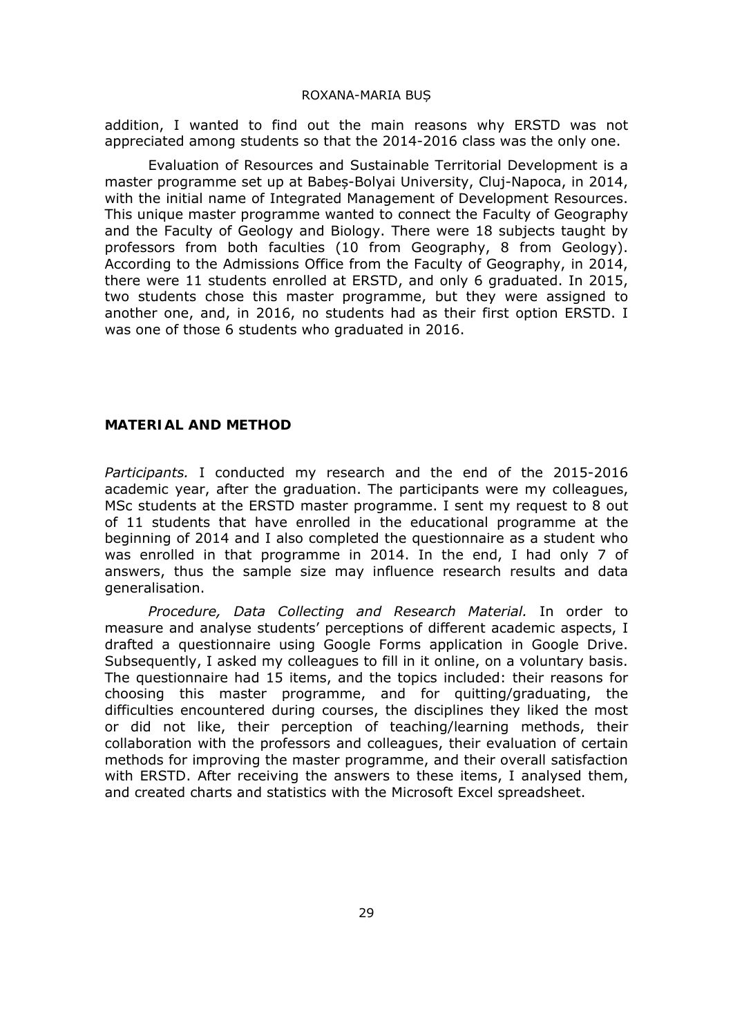addition, I wanted to find out the main reasons why ERSTD was not appreciated among students so that the 2014-2016 class was the only one.

Evaluation of Resources and Sustainable Territorial Development is a master programme set up at Babeș-Bolyai University, Cluj-Napoca, in 2014, with the initial name of Integrated Management of Development Resources. This unique master programme wanted to connect the Faculty of Geography and the Faculty of Geology and Biology. There were 18 subjects taught by professors from both faculties (10 from Geography, 8 from Geology). According to the Admissions Office from the Faculty of Geography, in 2014, there were 11 students enrolled at ERSTD, and only 6 graduated. In 2015, two students chose this master programme, but they were assigned to another one, and, in 2016, no students had as their first option ERSTD. I was one of those 6 students who graduated in 2016.

### **MATERIAL AND METHOD**

*Participants.* I conducted my research and the end of the 2015-2016 academic year, after the graduation. The participants were my colleagues, MSc students at the ERSTD master programme. I sent my request to 8 out of 11 students that have enrolled in the educational programme at the beginning of 2014 and I also completed the questionnaire as a student who was enrolled in that programme in 2014. In the end, I had only 7 of answers, thus the sample size may influence research results and data generalisation.

*Procedure, Data Collecting and Research Material.* In order to measure and analyse students' perceptions of different academic aspects, I drafted a questionnaire using Google Forms application in Google Drive. Subsequently, I asked my colleagues to fill in it online, on a voluntary basis. The questionnaire had 15 items, and the topics included: their reasons for choosing this master programme, and for quitting/graduating, the difficulties encountered during courses, the disciplines they liked the most or did not like, their perception of teaching/learning methods, their collaboration with the professors and colleagues, their evaluation of certain methods for improving the master programme, and their overall satisfaction with ERSTD. After receiving the answers to these items, I analysed them, and created charts and statistics with the Microsoft Excel spreadsheet.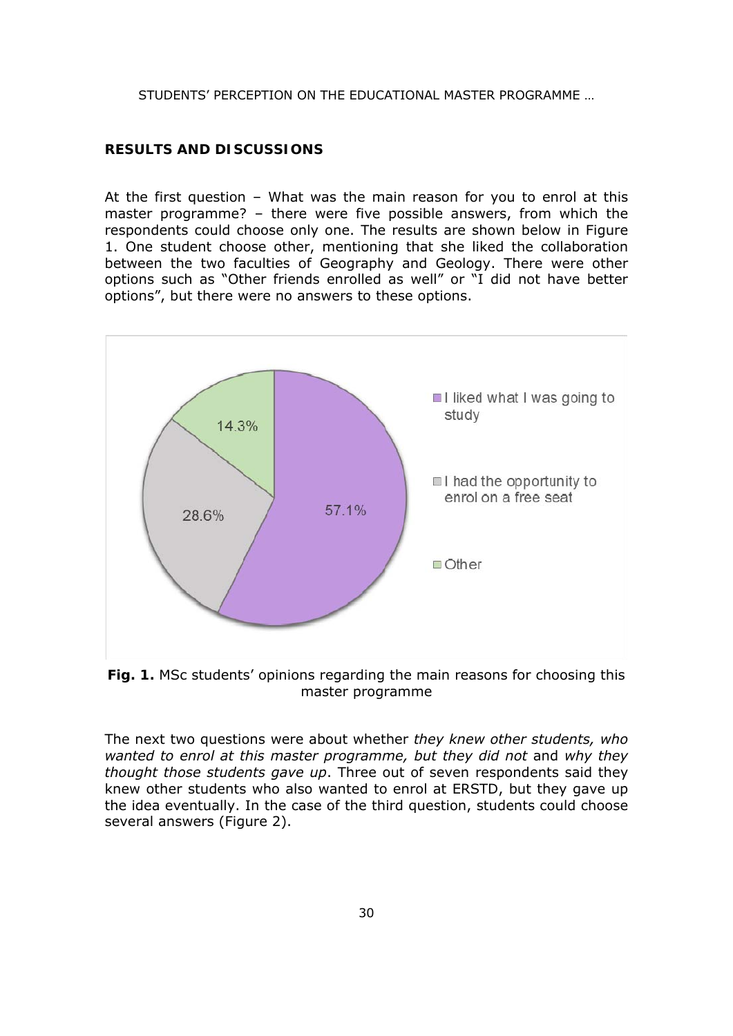### **RESULTS AND DISCUSSIONS**

At the first question – What was the main reason for you to enrol at this master programme? – there were five possible answers, from which the respondents could choose only one. The results are shown below in Figure 1. One student choose other, mentioning that she liked the collaboration between the two faculties of Geography and Geology. There were other options such as "Other friends enrolled as well" or "I did not have better options", but there were no answers to these options.



**Fig. 1.** MSc students' opinions regarding the main reasons for choosing this master programme

The next two questions were about whether *they knew other students, who wanted to enrol at this master programme, but they did not* and *why they thought those students gave up*. Three out of seven respondents said they knew other students who also wanted to enrol at ERSTD, but they gave up the idea eventually. In the case of the third question, students could choose several answers (Figure 2).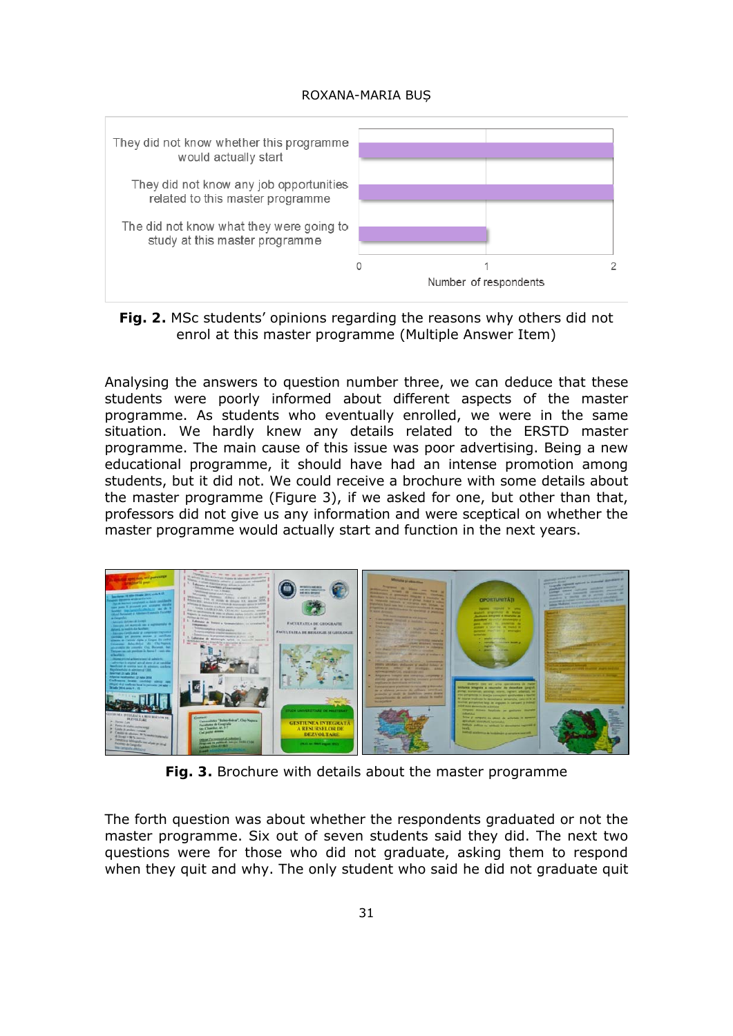

**Fig. 2.** MSc students' opinions regarding the reasons why others did not enrol at this master programme (Multiple Answer Item)

Analysing the answers to question number three, we can deduce that these students were poorly informed about different aspects of the master programme. As students who eventually enrolled, we were in the same situation. We hardly knew any details related to the ERSTD master programme. The main cause of this issue was poor advertising. Being a new educational programme, it should have had an intense promotion among students, but it did not. We could receive a brochure with some details about the master programme (Figure 3), if we asked for one, but other than that, professors did not give us any information and were sceptical on whether the master programme would actually start and function in the next years.



**Fig. 3.** Brochure with details about the master programme

The forth question was about whether the respondents graduated or not the master programme. Six out of seven students said they did. The next two questions were for those who did not graduate, asking them to respond when they quit and why. The only student who said he did not graduate quit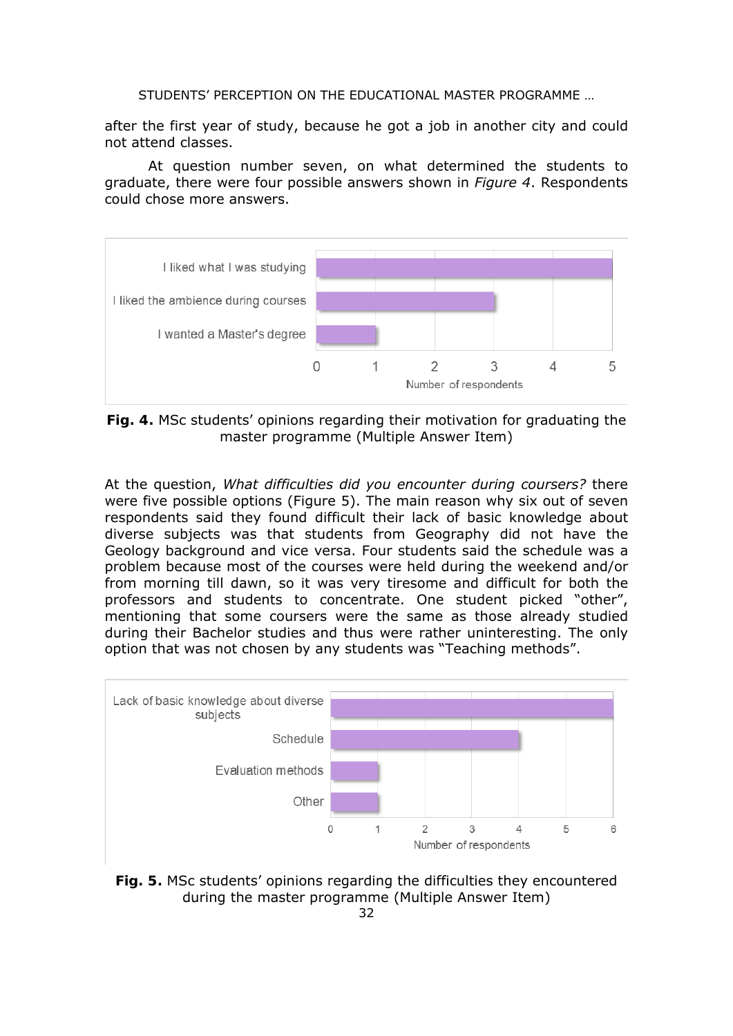after the first year of study, because he got a job in another city and could not attend classes.

At question number seven, on what determined the students to graduate, there were four possible answers shown in *Figure 4*. Respondents could chose more answers.



**Fig. 4.** MSc students' opinions regarding their motivation for graduating the master programme (Multiple Answer Item)

At the question, *What difficulties did you encounter during coursers?* there were five possible options (Figure 5). The main reason why six out of seven respondents said they found difficult their lack of basic knowledge about diverse subjects was that students from Geography did not have the Geology background and vice versa. Four students said the schedule was a problem because most of the courses were held during the weekend and/or from morning till dawn, so it was very tiresome and difficult for both the professors and students to concentrate. One student picked "other", mentioning that some coursers were the same as those already studied during their Bachelor studies and thus were rather uninteresting. The only option that was not chosen by any students was "Teaching methods".



**Fig. 5.** MSc students' opinions regarding the difficulties they encountered during the master programme (Multiple Answer Item)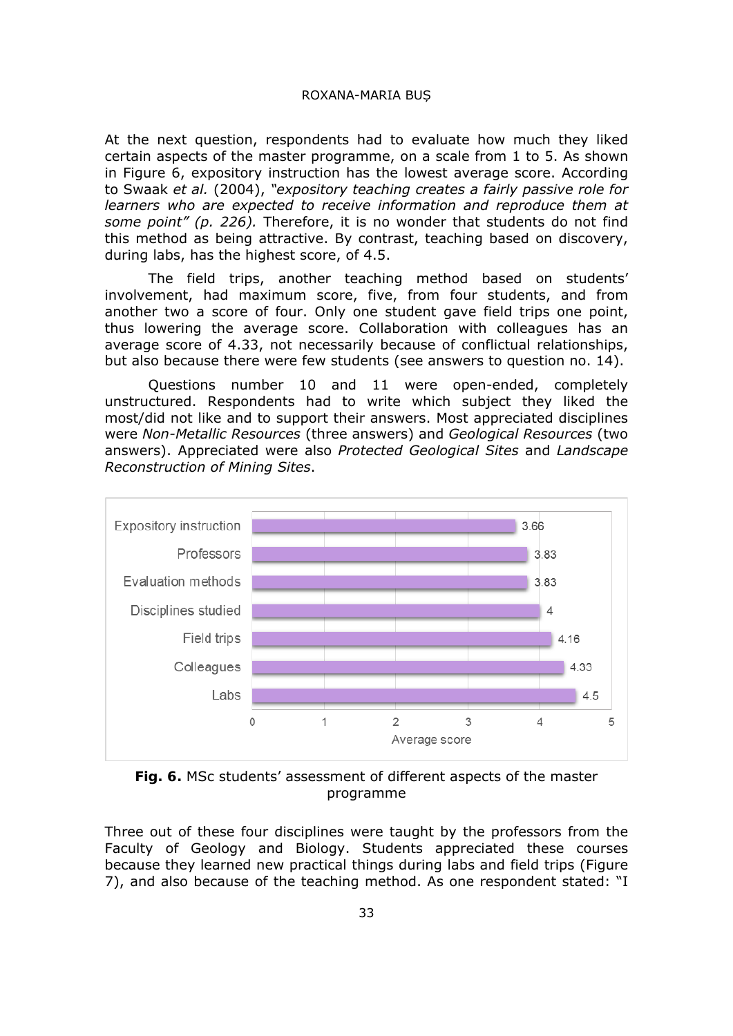At the next question, respondents had to evaluate how much they liked certain aspects of the master programme, on a scale from 1 to 5. As shown in Figure 6, expository instruction has the lowest average score. According to Swaak *et al.* (2004), *"expository teaching creates a fairly passive role for learners who are expected to receive information and reproduce them at some point" (p. 226).* Therefore, it is no wonder that students do not find this method as being attractive. By contrast, teaching based on discovery, during labs, has the highest score, of 4.5.

The field trips, another teaching method based on students' involvement, had maximum score, five, from four students, and from another two a score of four. Only one student gave field trips one point, thus lowering the average score. Collaboration with colleagues has an average score of 4.33, not necessarily because of conflictual relationships, but also because there were few students (see answers to question no. 14).

Questions number 10 and 11 were open-ended, completely unstructured. Respondents had to write which subject they liked the most/did not like and to support their answers. Most appreciated disciplines were *Non-Metallic Resources* (three answers) and *Geological Resources* (two answers). Appreciated were also *Protected Geological Sites* and *Landscape Reconstruction of Mining Sites*.



**Fig. 6.** MSc students' assessment of different aspects of the master programme

Three out of these four disciplines were taught by the professors from the Faculty of Geology and Biology. Students appreciated these courses because they learned new practical things during labs and field trips (Figure 7), and also because of the teaching method. As one respondent stated: "I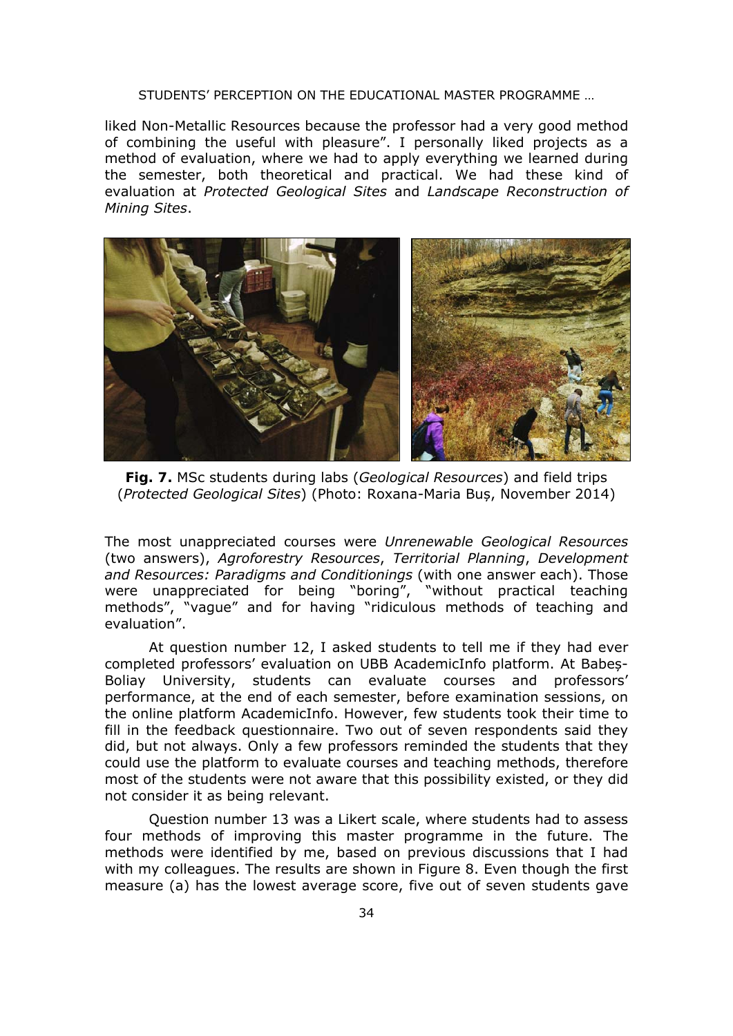liked Non-Metallic Resources because the professor had a very good method of combining the useful with pleasure". I personally liked projects as a method of evaluation, where we had to apply everything we learned during the semester, both theoretical and practical. We had these kind of evaluation at *Protected Geological Sites* and *Landscape Reconstruction of Mining Sites*.



**Fig. 7.** MSc students during labs (*Geological Resources*) and field trips (*Protected Geological Sites*) (Photo: Roxana-Maria Buș, November 2014)

The most unappreciated courses were *Unrenewable Geological Resources*  (two answers), *Agroforestry Resources*, *Territorial Planning*, *Development and Resources: Paradigms and Conditionings* (with one answer each). Those were unappreciated for being "boring", "without practical teaching methods", "vague" and for having "ridiculous methods of teaching and evaluation".

At question number 12, I asked students to tell me if they had ever completed professors' evaluation on UBB AcademicInfo platform. At Babeș-Boliay University, students can evaluate courses and professors' performance, at the end of each semester, before examination sessions, on the online platform AcademicInfo. However, few students took their time to fill in the feedback questionnaire. Two out of seven respondents said they did, but not always. Only a few professors reminded the students that they could use the platform to evaluate courses and teaching methods, therefore most of the students were not aware that this possibility existed, or they did not consider it as being relevant.

Question number 13 was a Likert scale, where students had to assess four methods of improving this master programme in the future. The methods were identified by me, based on previous discussions that I had with my colleagues. The results are shown in Figure 8. Even though the first measure (a) has the lowest average score, five out of seven students gave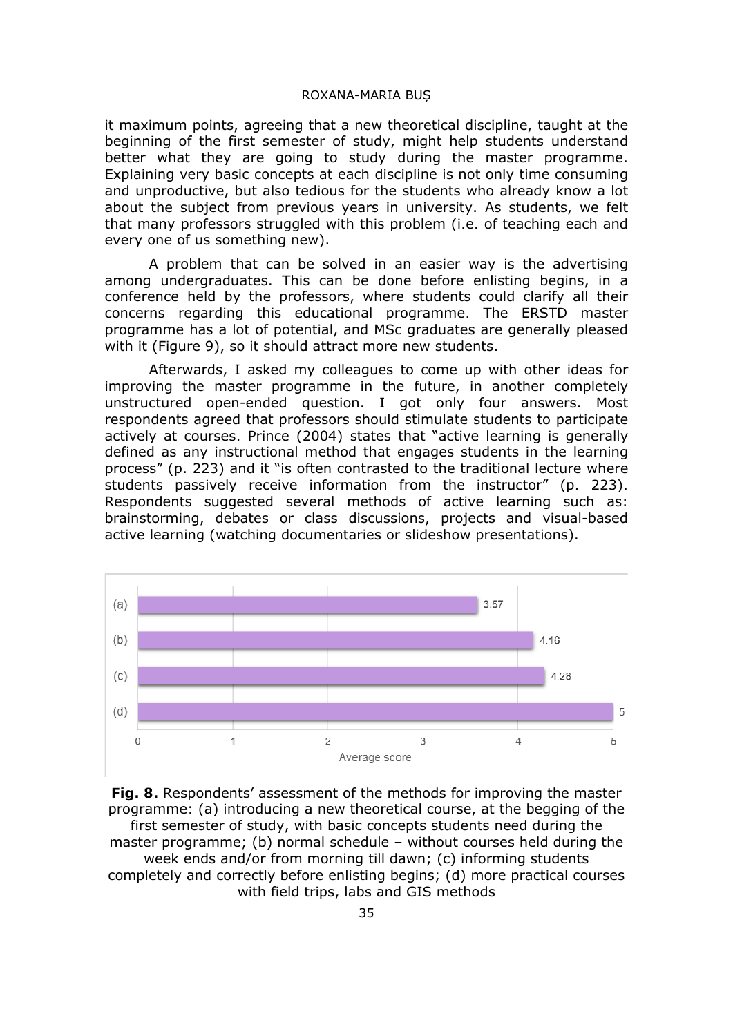it maximum points, agreeing that a new theoretical discipline, taught at the beginning of the first semester of study, might help students understand better what they are going to study during the master programme. Explaining very basic concepts at each discipline is not only time consuming and unproductive, but also tedious for the students who already know a lot about the subject from previous years in university. As students, we felt that many professors struggled with this problem (i.e. of teaching each and every one of us something new).

A problem that can be solved in an easier way is the advertising among undergraduates. This can be done before enlisting begins, in a conference held by the professors, where students could clarify all their concerns regarding this educational programme. The ERSTD master programme has a lot of potential, and MSc graduates are generally pleased with it (Figure 9), so it should attract more new students.

Afterwards, I asked my colleagues to come up with other ideas for improving the master programme in the future, in another completely unstructured open-ended question. I got only four answers. Most respondents agreed that professors should stimulate students to participate actively at courses. Prince (2004) states that "active learning is generally defined as any instructional method that engages students in the learning process" (p. 223) and it "is often contrasted to the traditional lecture where students passively receive information from the instructor" (p. 223). Respondents suggested several methods of active learning such as: brainstorming, debates or class discussions, projects and visual-based active learning (watching documentaries or slideshow presentations).



**Fig. 8.** Respondents' assessment of the methods for improving the master programme: (a) introducing a new theoretical course, at the begging of the first semester of study, with basic concepts students need during the master programme; (b) normal schedule – without courses held during the week ends and/or from morning till dawn; (c) informing students completely and correctly before enlisting begins; (d) more practical courses with field trips, labs and GIS methods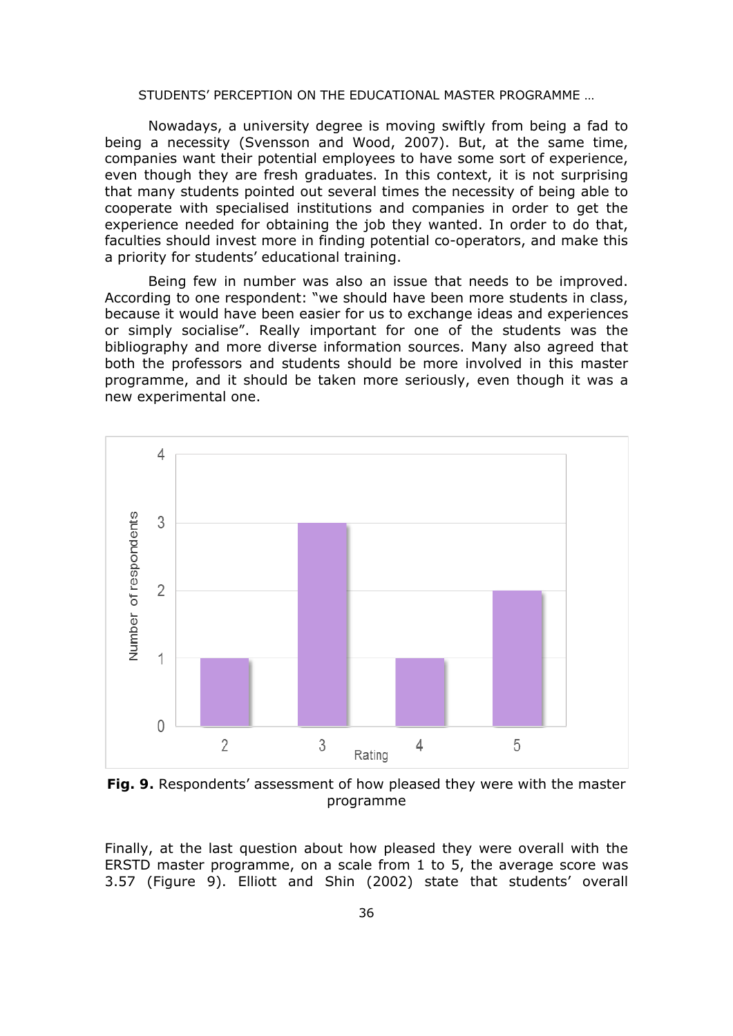Nowadays, a university degree is moving swiftly from being a fad to being a necessity (Svensson and Wood, 2007). But, at the same time, companies want their potential employees to have some sort of experience, even though they are fresh graduates. In this context, it is not surprising that many students pointed out several times the necessity of being able to cooperate with specialised institutions and companies in order to get the experience needed for obtaining the job they wanted. In order to do that, faculties should invest more in finding potential co-operators, and make this a priority for students' educational training.

Being few in number was also an issue that needs to be improved. According to one respondent: "we should have been more students in class, because it would have been easier for us to exchange ideas and experiences or simply socialise". Really important for one of the students was the bibliography and more diverse information sources. Many also agreed that both the professors and students should be more involved in this master programme, and it should be taken more seriously, even though it was a new experimental one.



**Fig. 9.** Respondents' assessment of how pleased they were with the master programme

Finally, at the last question about how pleased they were overall with the ERSTD master programme, on a scale from 1 to 5, the average score was 3.57 (Figure 9). Elliott and Shin (2002) state that students' overall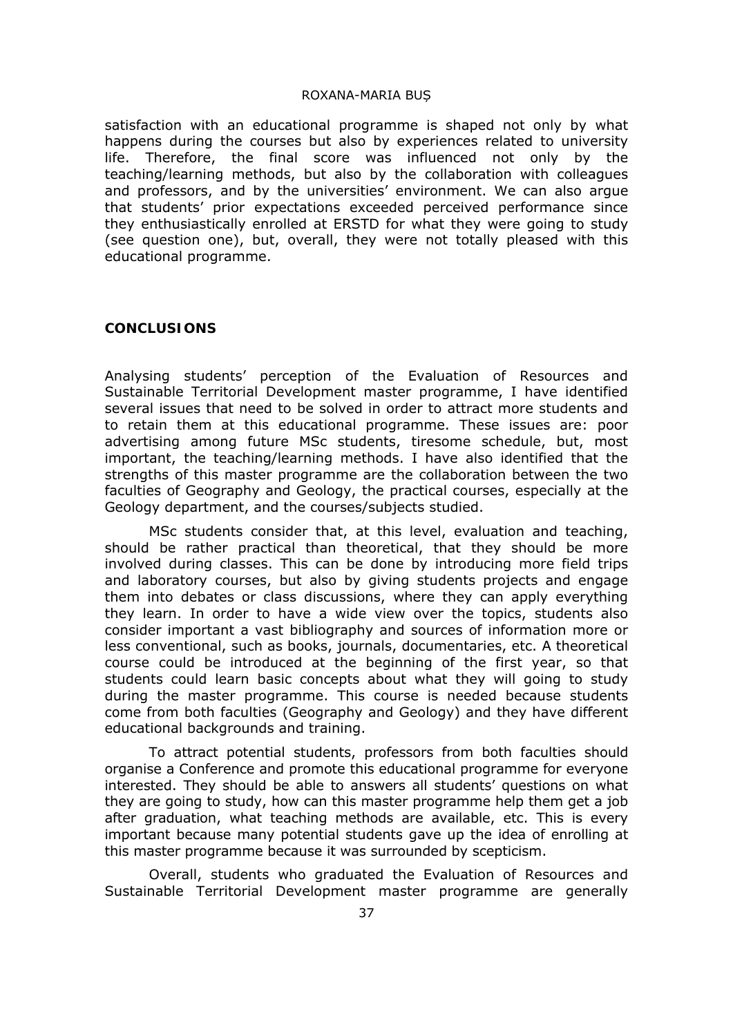satisfaction with an educational programme is shaped not only by what happens during the courses but also by experiences related to university life. Therefore, the final score was influenced not only by the teaching/learning methods, but also by the collaboration with colleagues and professors, and by the universities' environment. We can also argue that students' prior expectations exceeded perceived performance since they enthusiastically enrolled at ERSTD for what they were going to study (see question one), but, overall, they were not totally pleased with this educational programme.

### **CONCLUSIONS**

Analysing students' perception of the Evaluation of Resources and Sustainable Territorial Development master programme, I have identified several issues that need to be solved in order to attract more students and to retain them at this educational programme. These issues are: poor advertising among future MSc students, tiresome schedule, but, most important, the teaching/learning methods. I have also identified that the strengths of this master programme are the collaboration between the two faculties of Geography and Geology, the practical courses, especially at the Geology department, and the courses/subjects studied.

MSc students consider that, at this level, evaluation and teaching, should be rather practical than theoretical, that they should be more involved during classes. This can be done by introducing more field trips and laboratory courses, but also by giving students projects and engage them into debates or class discussions, where they can apply everything they learn. In order to have a wide view over the topics, students also consider important a vast bibliography and sources of information more or less conventional, such as books, journals, documentaries, etc. A theoretical course could be introduced at the beginning of the first year, so that students could learn basic concepts about what they will going to study during the master programme. This course is needed because students come from both faculties (Geography and Geology) and they have different educational backgrounds and training.

To attract potential students, professors from both faculties should organise a Conference and promote this educational programme for everyone interested. They should be able to answers all students' questions on what they are going to study, how can this master programme help them get a job after graduation, what teaching methods are available, etc. This is every important because many potential students gave up the idea of enrolling at this master programme because it was surrounded by scepticism.

Overall, students who graduated the Evaluation of Resources and Sustainable Territorial Development master programme are generally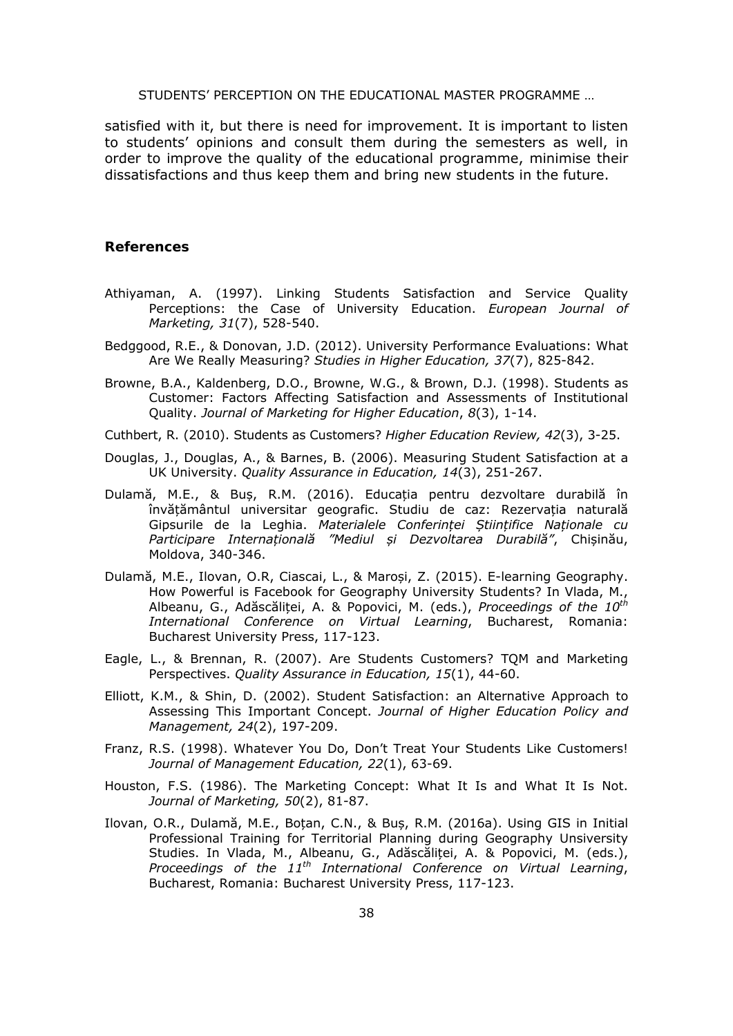satisfied with it, but there is need for improvement. It is important to listen to students' opinions and consult them during the semesters as well, in order to improve the quality of the educational programme, minimise their dissatisfactions and thus keep them and bring new students in the future.

#### **References**

- Athiyaman, A. (1997). Linking Students Satisfaction and Service Quality Perceptions: the Case of University Education. *European Journal of Marketing, 31*(7), 528-540.
- Bedggood, R.E., & Donovan, J.D. (2012). University Performance Evaluations: What Are We Really Measuring? *Studies in Higher Education, 37*(7), 825-842.
- Browne, B.A., Kaldenberg, D.O., Browne, W.G., & Brown, D.J. (1998). Students as Customer: Factors Affecting Satisfaction and Assessments of Institutional Quality. *Journal of Marketing for Higher Education*, *8*(3), 1-14.
- Cuthbert, R. (2010). Students as Customers? *Higher Education Review, 42*(3), 3-25.
- Douglas, J., Douglas, A., & Barnes, B. (2006). Measuring Student Satisfaction at a UK University. *Quality Assurance in Education, 14*(3), 251-267.
- Dulamă, M.E., & Buș, R.M. (2016). Educația pentru dezvoltare durabilă în învățământul universitar geografic. Studiu de caz: Rezervația naturală Gipsurile de la Leghia. *Materialele Conferinței Științifice Naționale cu Participare Internațională "Mediul și Dezvoltarea Durabilă"*, Chișinău, Moldova, 340-346.
- Dulamă, M.E., Ilovan, O.R, Ciascai, L., & Maroși, Z. (2015). E-learning Geography. How Powerful is Facebook for Geography University Students? In Vlada, M., Albeanu, G., Adăscăliței, A. & Popovici, M. (eds.), *Proceedings of the 10th International Conference on Virtual Learning*, Bucharest, Romania: Bucharest University Press, 117-123.
- Eagle, L., & Brennan, R. (2007). Are Students Customers? TQM and Marketing Perspectives. *Quality Assurance in Education, 15*(1), 44-60.
- Elliott, K.M., & Shin, D. (2002). Student Satisfaction: an Alternative Approach to Assessing This Important Concept. *Journal of Higher Education Policy and Management, 24*(2), 197-209.
- Franz, R.S. (1998). Whatever You Do, Don't Treat Your Students Like Customers! *Journal of Management Education, 22*(1), 63-69.
- Houston, F.S. (1986). The Marketing Concept: What It Is and What It Is Not. *Journal of Marketing, 50*(2), 81-87.
- Ilovan, O.R., Dulamă, M.E., Boțan, C.N., & Buș, R.M. (2016a). Using GIS in Initial Professional Training for Territorial Planning during Geography Unsiversity Studies. In Vlada, M., Albeanu, G., Adăscăliței, A. & Popovici, M. (eds.), *Proceedings of the 11th International Conference on Virtual Learning*, Bucharest, Romania: Bucharest University Press, 117-123.